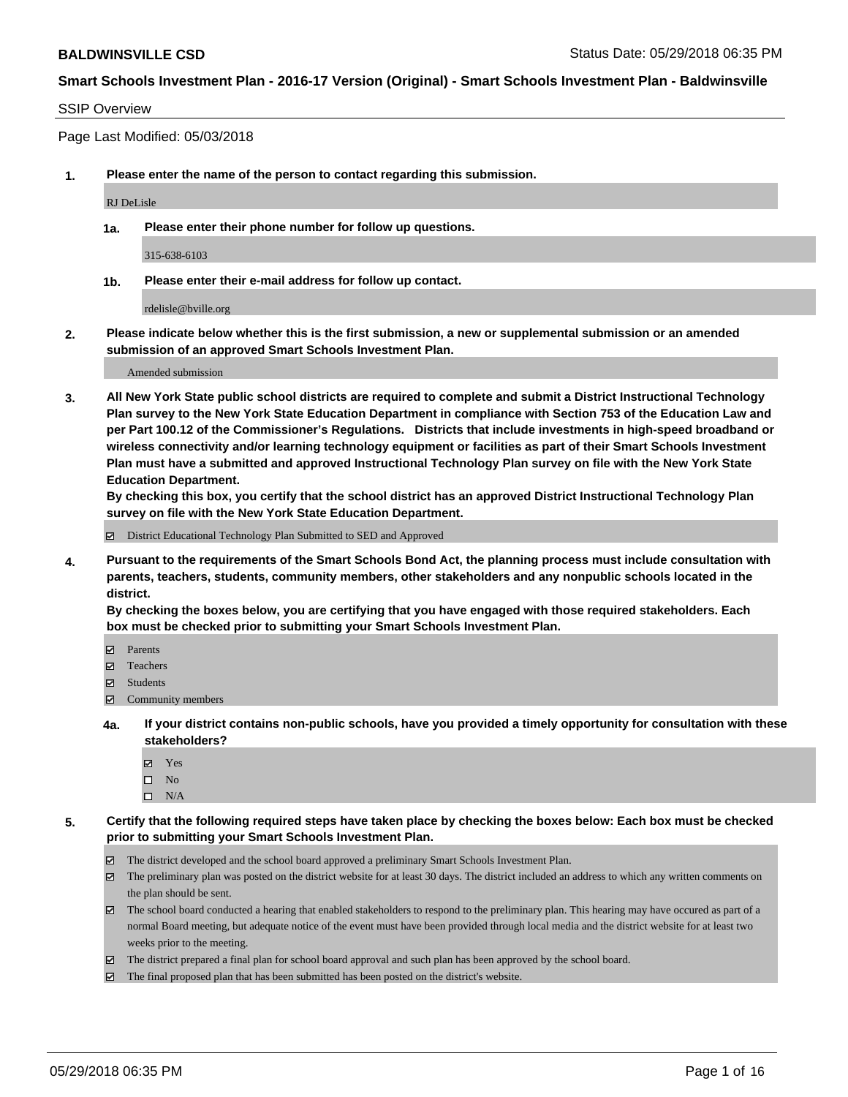#### SSIP Overview

Page Last Modified: 05/03/2018

**1. Please enter the name of the person to contact regarding this submission.**

RJ DeLisle

**1a. Please enter their phone number for follow up questions.**

315-638-6103

**1b. Please enter their e-mail address for follow up contact.**

rdelisle@bville.org

**2. Please indicate below whether this is the first submission, a new or supplemental submission or an amended submission of an approved Smart Schools Investment Plan.**

Amended submission

**3. All New York State public school districts are required to complete and submit a District Instructional Technology Plan survey to the New York State Education Department in compliance with Section 753 of the Education Law and per Part 100.12 of the Commissioner's Regulations. Districts that include investments in high-speed broadband or wireless connectivity and/or learning technology equipment or facilities as part of their Smart Schools Investment Plan must have a submitted and approved Instructional Technology Plan survey on file with the New York State Education Department.** 

**By checking this box, you certify that the school district has an approved District Instructional Technology Plan survey on file with the New York State Education Department.**

District Educational Technology Plan Submitted to SED and Approved

**4. Pursuant to the requirements of the Smart Schools Bond Act, the planning process must include consultation with parents, teachers, students, community members, other stakeholders and any nonpublic schools located in the district.** 

**By checking the boxes below, you are certifying that you have engaged with those required stakeholders. Each box must be checked prior to submitting your Smart Schools Investment Plan.**

- Parents
- Teachers
- Students
- $\Xi$  Community members
- **4a. If your district contains non-public schools, have you provided a timely opportunity for consultation with these stakeholders?**
	- Yes
	- $\square$  No
	- $\square$  N/A
- **5. Certify that the following required steps have taken place by checking the boxes below: Each box must be checked prior to submitting your Smart Schools Investment Plan.**
	- The district developed and the school board approved a preliminary Smart Schools Investment Plan.
	- $\boxtimes$  The preliminary plan was posted on the district website for at least 30 days. The district included an address to which any written comments on the plan should be sent.
	- $\boxtimes$  The school board conducted a hearing that enabled stakeholders to respond to the preliminary plan. This hearing may have occured as part of a normal Board meeting, but adequate notice of the event must have been provided through local media and the district website for at least two weeks prior to the meeting.
	- The district prepared a final plan for school board approval and such plan has been approved by the school board.
	- $\boxtimes$  The final proposed plan that has been submitted has been posted on the district's website.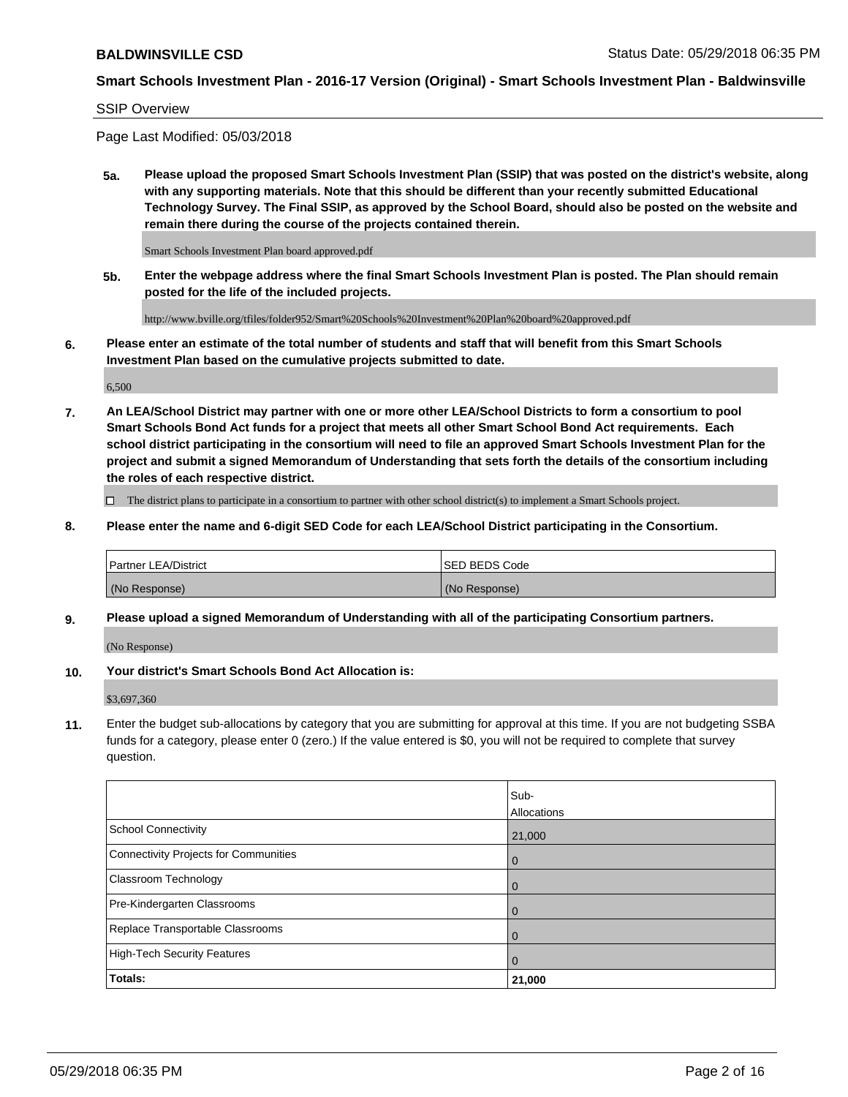#### SSIP Overview

Page Last Modified: 05/03/2018

**5a. Please upload the proposed Smart Schools Investment Plan (SSIP) that was posted on the district's website, along with any supporting materials. Note that this should be different than your recently submitted Educational Technology Survey. The Final SSIP, as approved by the School Board, should also be posted on the website and remain there during the course of the projects contained therein.**

Smart Schools Investment Plan board approved.pdf

**5b. Enter the webpage address where the final Smart Schools Investment Plan is posted. The Plan should remain posted for the life of the included projects.**

http://www.bville.org/tfiles/folder952/Smart%20Schools%20Investment%20Plan%20board%20approved.pdf

**6. Please enter an estimate of the total number of students and staff that will benefit from this Smart Schools Investment Plan based on the cumulative projects submitted to date.**

6,500

**7. An LEA/School District may partner with one or more other LEA/School Districts to form a consortium to pool Smart Schools Bond Act funds for a project that meets all other Smart School Bond Act requirements. Each school district participating in the consortium will need to file an approved Smart Schools Investment Plan for the project and submit a signed Memorandum of Understanding that sets forth the details of the consortium including the roles of each respective district.**

 $\Box$  The district plans to participate in a consortium to partner with other school district(s) to implement a Smart Schools project.

**8. Please enter the name and 6-digit SED Code for each LEA/School District participating in the Consortium.**

| <b>Partner LEA/District</b> | <b>ISED BEDS Code</b> |
|-----------------------------|-----------------------|
| (No Response)               | (No Response)         |

#### **9. Please upload a signed Memorandum of Understanding with all of the participating Consortium partners.**

(No Response)

**10. Your district's Smart Schools Bond Act Allocation is:**

\$3,697,360

**11.** Enter the budget sub-allocations by category that you are submitting for approval at this time. If you are not budgeting SSBA funds for a category, please enter 0 (zero.) If the value entered is \$0, you will not be required to complete that survey question.

|                                              | Sub-<br>Allocations |
|----------------------------------------------|---------------------|
| <b>School Connectivity</b>                   | 21,000              |
| <b>Connectivity Projects for Communities</b> | $\mathbf 0$         |
| Classroom Technology                         | $\mathbf 0$         |
| Pre-Kindergarten Classrooms                  | $\Omega$            |
| Replace Transportable Classrooms             | 0                   |
| <b>High-Tech Security Features</b>           | $\overline{0}$      |
| Totals:                                      | 21,000              |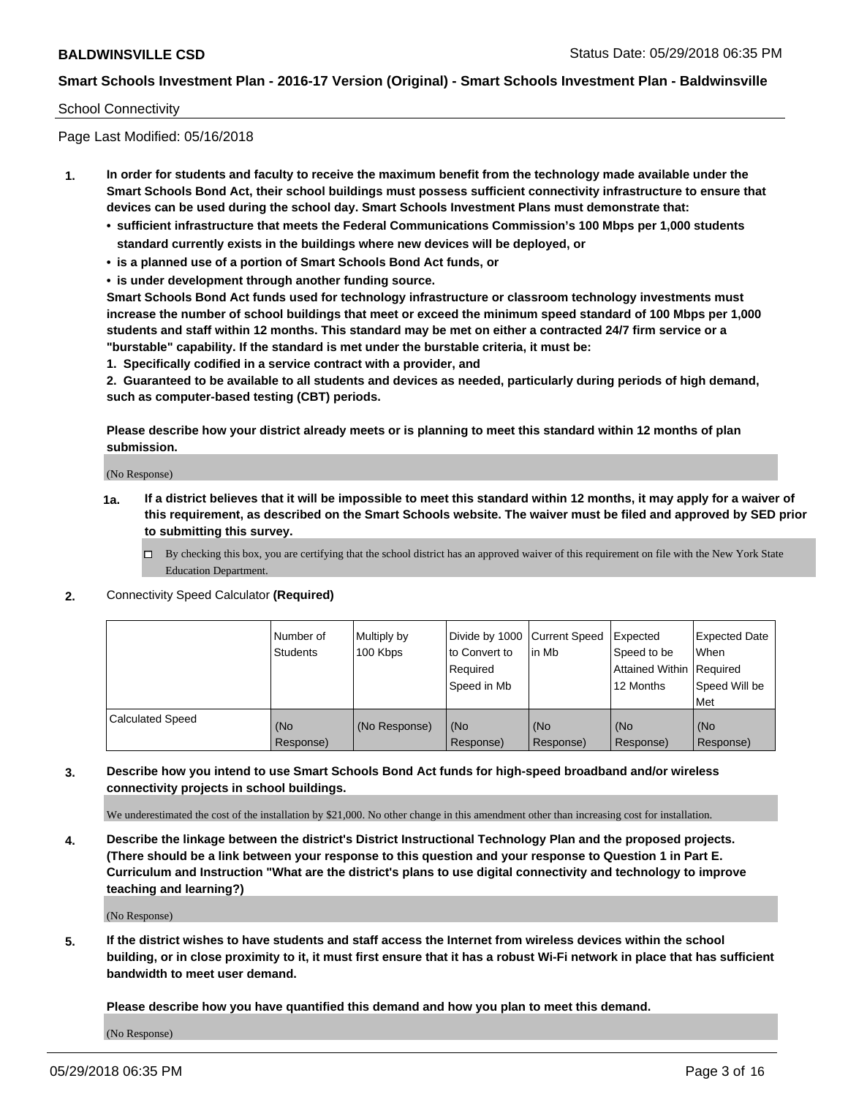#### School Connectivity

Page Last Modified: 05/16/2018

- **1. In order for students and faculty to receive the maximum benefit from the technology made available under the Smart Schools Bond Act, their school buildings must possess sufficient connectivity infrastructure to ensure that devices can be used during the school day. Smart Schools Investment Plans must demonstrate that:**
	- **• sufficient infrastructure that meets the Federal Communications Commission's 100 Mbps per 1,000 students standard currently exists in the buildings where new devices will be deployed, or**
	- **• is a planned use of a portion of Smart Schools Bond Act funds, or**
	- **• is under development through another funding source.**

**Smart Schools Bond Act funds used for technology infrastructure or classroom technology investments must increase the number of school buildings that meet or exceed the minimum speed standard of 100 Mbps per 1,000 students and staff within 12 months. This standard may be met on either a contracted 24/7 firm service or a "burstable" capability. If the standard is met under the burstable criteria, it must be:**

**1. Specifically codified in a service contract with a provider, and**

**2. Guaranteed to be available to all students and devices as needed, particularly during periods of high demand, such as computer-based testing (CBT) periods.**

**Please describe how your district already meets or is planning to meet this standard within 12 months of plan submission.**

(No Response)

- **1a. If a district believes that it will be impossible to meet this standard within 12 months, it may apply for a waiver of this requirement, as described on the Smart Schools website. The waiver must be filed and approved by SED prior to submitting this survey.**
	- By checking this box, you are certifying that the school district has an approved waiver of this requirement on file with the New York State Education Department.
- **2.** Connectivity Speed Calculator **(Required)**

|                         | l Number of<br><b>Students</b> | Multiply by<br>100 Kbps | Divide by 1000 Current Speed<br>to Convert to<br>Required<br>l Speed in Mb | lin Mb           | Expected<br>Speed to be<br>Attained Within Required<br>12 Months | <b>Expected Date</b><br><b>When</b><br>Speed Will be<br>l Met |
|-------------------------|--------------------------------|-------------------------|----------------------------------------------------------------------------|------------------|------------------------------------------------------------------|---------------------------------------------------------------|
| <b>Calculated Speed</b> | (No<br>Response)               | (No Response)           | (No<br>Response)                                                           | (No<br>Response) | (No<br>Response)                                                 | l (No<br>Response)                                            |

## **3. Describe how you intend to use Smart Schools Bond Act funds for high-speed broadband and/or wireless connectivity projects in school buildings.**

We underestimated the cost of the installation by \$21,000. No other change in this amendment other than increasing cost for installation.

**4. Describe the linkage between the district's District Instructional Technology Plan and the proposed projects. (There should be a link between your response to this question and your response to Question 1 in Part E. Curriculum and Instruction "What are the district's plans to use digital connectivity and technology to improve teaching and learning?)**

(No Response)

**5. If the district wishes to have students and staff access the Internet from wireless devices within the school building, or in close proximity to it, it must first ensure that it has a robust Wi-Fi network in place that has sufficient bandwidth to meet user demand.**

**Please describe how you have quantified this demand and how you plan to meet this demand.**

(No Response)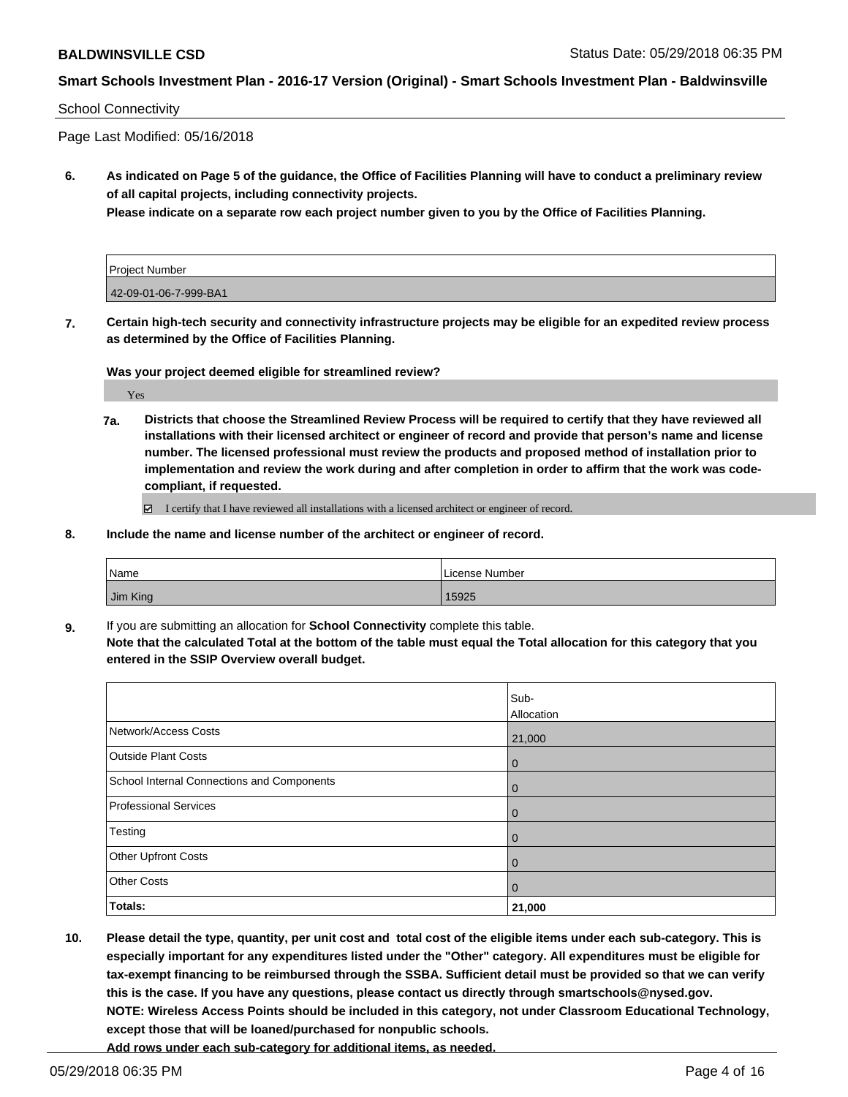#### School Connectivity

Page Last Modified: 05/16/2018

**6. As indicated on Page 5 of the guidance, the Office of Facilities Planning will have to conduct a preliminary review of all capital projects, including connectivity projects.**

**Please indicate on a separate row each project number given to you by the Office of Facilities Planning.**

| <b>Project Number</b> |  |
|-----------------------|--|
| 42-09-01-06-7-999-BA1 |  |

**7. Certain high-tech security and connectivity infrastructure projects may be eligible for an expedited review process as determined by the Office of Facilities Planning.**

**Was your project deemed eligible for streamlined review?**

Yes

**7a. Districts that choose the Streamlined Review Process will be required to certify that they have reviewed all installations with their licensed architect or engineer of record and provide that person's name and license number. The licensed professional must review the products and proposed method of installation prior to implementation and review the work during and after completion in order to affirm that the work was codecompliant, if requested.**

I certify that I have reviewed all installations with a licensed architect or engineer of record.

**8. Include the name and license number of the architect or engineer of record.**

| Name     | License Number |
|----------|----------------|
| Jim King | 15925          |

**9.** If you are submitting an allocation for **School Connectivity** complete this table. **Note that the calculated Total at the bottom of the table must equal the Total allocation for this category that you entered in the SSIP Overview overall budget.** 

|                                            | Sub-<br>Allocation |
|--------------------------------------------|--------------------|
| Network/Access Costs                       | 21,000             |
| <b>Outside Plant Costs</b>                 | l 0                |
| School Internal Connections and Components | l 0                |
| <b>Professional Services</b>               | $\overline{0}$     |
| Testing                                    | $\overline{0}$     |
| Other Upfront Costs                        | $\overline{0}$     |
| <b>Other Costs</b>                         | $\overline{0}$     |
| Totals:                                    | 21,000             |

**10. Please detail the type, quantity, per unit cost and total cost of the eligible items under each sub-category. This is especially important for any expenditures listed under the "Other" category. All expenditures must be eligible for tax-exempt financing to be reimbursed through the SSBA. Sufficient detail must be provided so that we can verify this is the case. If you have any questions, please contact us directly through smartschools@nysed.gov. NOTE: Wireless Access Points should be included in this category, not under Classroom Educational Technology, except those that will be loaned/purchased for nonpublic schools.**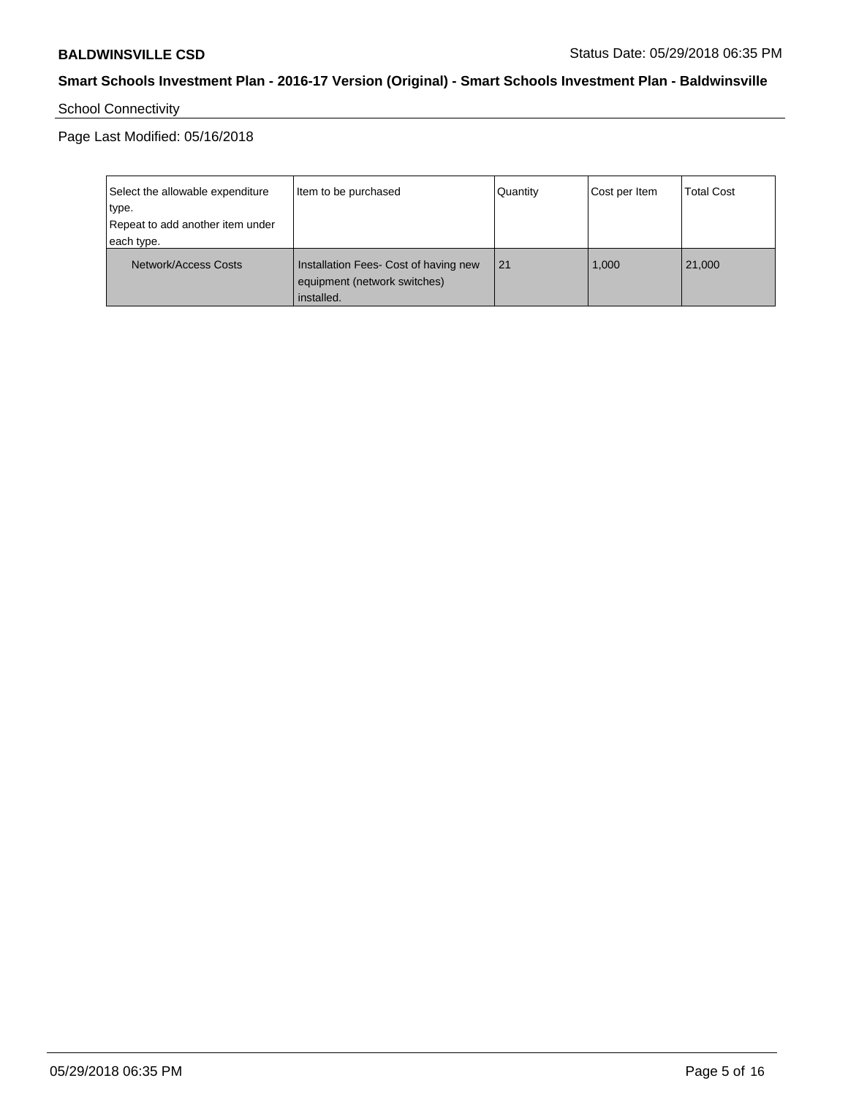# School Connectivity

Page Last Modified: 05/16/2018

| Select the allowable expenditure<br>type.      | Item to be purchased                                                                | Quantity | Cost per Item | <b>Total Cost</b> |
|------------------------------------------------|-------------------------------------------------------------------------------------|----------|---------------|-------------------|
| Repeat to add another item under<br>each type. |                                                                                     |          |               |                   |
| Network/Access Costs                           | Installation Fees- Cost of having new<br>equipment (network switches)<br>installed. | 21       | 1,000         | 21,000            |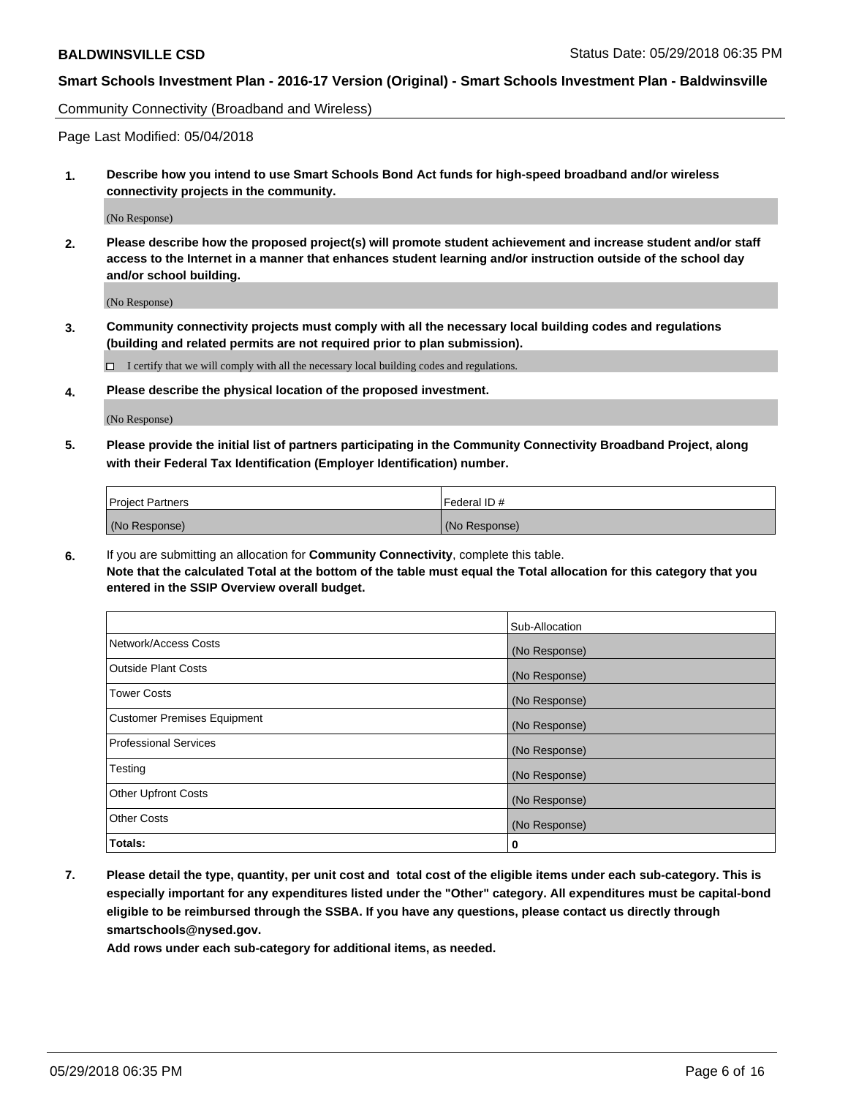Community Connectivity (Broadband and Wireless)

Page Last Modified: 05/04/2018

**1. Describe how you intend to use Smart Schools Bond Act funds for high-speed broadband and/or wireless connectivity projects in the community.**

(No Response)

**2. Please describe how the proposed project(s) will promote student achievement and increase student and/or staff access to the Internet in a manner that enhances student learning and/or instruction outside of the school day and/or school building.**

(No Response)

**3. Community connectivity projects must comply with all the necessary local building codes and regulations (building and related permits are not required prior to plan submission).**

 $\Box$  I certify that we will comply with all the necessary local building codes and regulations.

**4. Please describe the physical location of the proposed investment.**

(No Response)

**5. Please provide the initial list of partners participating in the Community Connectivity Broadband Project, along with their Federal Tax Identification (Employer Identification) number.**

| <b>Project Partners</b> | l Federal ID # |
|-------------------------|----------------|
| (No Response)           | (No Response)  |

**6.** If you are submitting an allocation for **Community Connectivity**, complete this table. **Note that the calculated Total at the bottom of the table must equal the Total allocation for this category that you entered in the SSIP Overview overall budget.**

|                                    | Sub-Allocation |
|------------------------------------|----------------|
| Network/Access Costs               | (No Response)  |
| Outside Plant Costs                | (No Response)  |
| <b>Tower Costs</b>                 | (No Response)  |
| <b>Customer Premises Equipment</b> | (No Response)  |
| Professional Services              | (No Response)  |
| Testing                            | (No Response)  |
| <b>Other Upfront Costs</b>         | (No Response)  |
| <b>Other Costs</b>                 | (No Response)  |
| Totals:                            | 0              |

**7. Please detail the type, quantity, per unit cost and total cost of the eligible items under each sub-category. This is especially important for any expenditures listed under the "Other" category. All expenditures must be capital-bond eligible to be reimbursed through the SSBA. If you have any questions, please contact us directly through smartschools@nysed.gov.**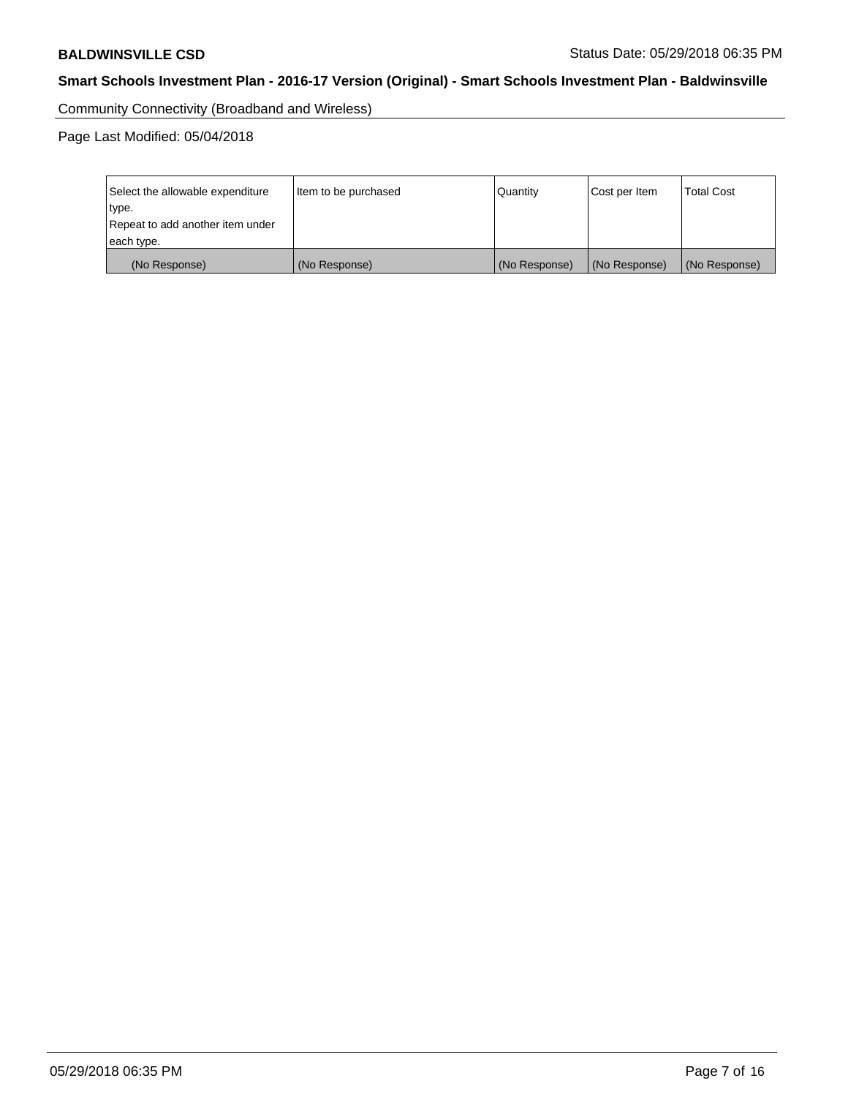Community Connectivity (Broadband and Wireless)

Page Last Modified: 05/04/2018

| Select the allowable expenditure<br>type.<br>Repeat to add another item under | Item to be purchased | Quantity      | Cost per Item | <b>Total Cost</b> |  |
|-------------------------------------------------------------------------------|----------------------|---------------|---------------|-------------------|--|
| each type.                                                                    |                      |               |               |                   |  |
| (No Response)                                                                 | (No Response)        | (No Response) | (No Response) | (No Response)     |  |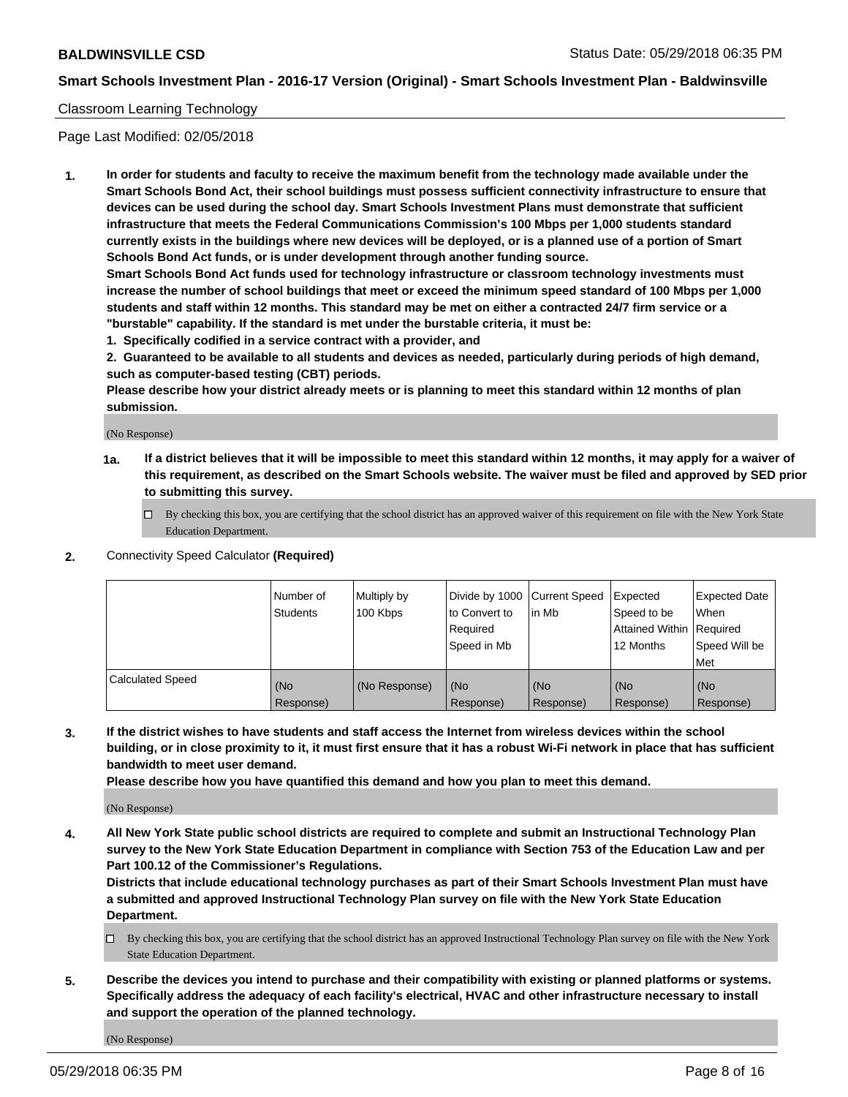#### Classroom Learning Technology

Page Last Modified: 02/05/2018

**1. In order for students and faculty to receive the maximum benefit from the technology made available under the Smart Schools Bond Act, their school buildings must possess sufficient connectivity infrastructure to ensure that devices can be used during the school day. Smart Schools Investment Plans must demonstrate that sufficient infrastructure that meets the Federal Communications Commission's 100 Mbps per 1,000 students standard currently exists in the buildings where new devices will be deployed, or is a planned use of a portion of Smart Schools Bond Act funds, or is under development through another funding source.**

**Smart Schools Bond Act funds used for technology infrastructure or classroom technology investments must increase the number of school buildings that meet or exceed the minimum speed standard of 100 Mbps per 1,000 students and staff within 12 months. This standard may be met on either a contracted 24/7 firm service or a "burstable" capability. If the standard is met under the burstable criteria, it must be:**

**1. Specifically codified in a service contract with a provider, and**

**2. Guaranteed to be available to all students and devices as needed, particularly during periods of high demand, such as computer-based testing (CBT) periods.**

**Please describe how your district already meets or is planning to meet this standard within 12 months of plan submission.**

(No Response)

- **1a. If a district believes that it will be impossible to meet this standard within 12 months, it may apply for a waiver of this requirement, as described on the Smart Schools website. The waiver must be filed and approved by SED prior to submitting this survey.**
	- By checking this box, you are certifying that the school district has an approved waiver of this requirement on file with the New York State Education Department.
- **2.** Connectivity Speed Calculator **(Required)**

|                         | Number of<br><b>Students</b> | Multiply by<br>100 Kbps | Divide by 1000 Current Speed<br>to Convert to<br>Required<br>Speed in Mb | l in Mb          | Expected<br>Speed to be<br>Attained Within Required<br>12 Months | Expected Date<br>When<br>Speed Will be<br>Met |
|-------------------------|------------------------------|-------------------------|--------------------------------------------------------------------------|------------------|------------------------------------------------------------------|-----------------------------------------------|
| <b>Calculated Speed</b> | (No<br>Response)             | (No Response)           | (No<br>Response)                                                         | (No<br>Response) | (No<br>Response)                                                 | (No<br>Response)                              |

**3. If the district wishes to have students and staff access the Internet from wireless devices within the school building, or in close proximity to it, it must first ensure that it has a robust Wi-Fi network in place that has sufficient bandwidth to meet user demand.**

**Please describe how you have quantified this demand and how you plan to meet this demand.**

(No Response)

**4. All New York State public school districts are required to complete and submit an Instructional Technology Plan survey to the New York State Education Department in compliance with Section 753 of the Education Law and per Part 100.12 of the Commissioner's Regulations.**

**Districts that include educational technology purchases as part of their Smart Schools Investment Plan must have a submitted and approved Instructional Technology Plan survey on file with the New York State Education Department.**

- By checking this box, you are certifying that the school district has an approved Instructional Technology Plan survey on file with the New York State Education Department.
- **5. Describe the devices you intend to purchase and their compatibility with existing or planned platforms or systems. Specifically address the adequacy of each facility's electrical, HVAC and other infrastructure necessary to install and support the operation of the planned technology.**

(No Response)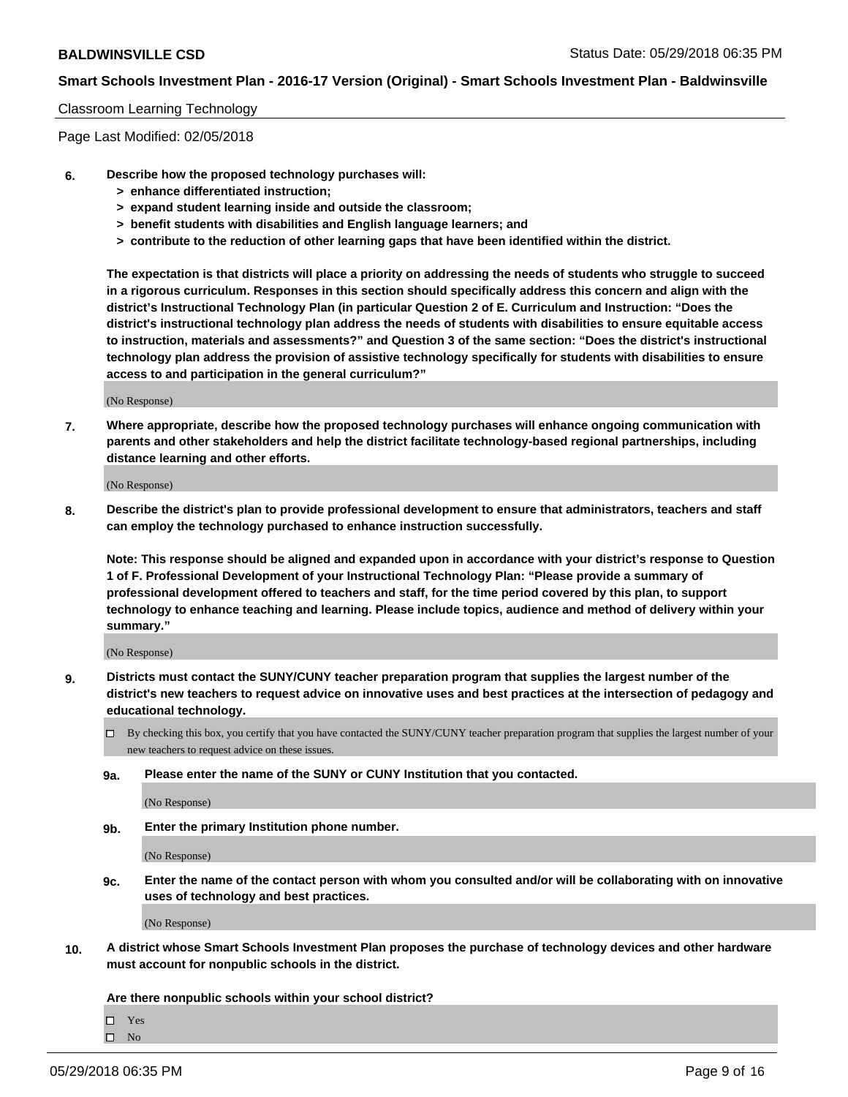#### Classroom Learning Technology

Page Last Modified: 02/05/2018

- **6. Describe how the proposed technology purchases will:**
	- **> enhance differentiated instruction;**
	- **> expand student learning inside and outside the classroom;**
	- **> benefit students with disabilities and English language learners; and**
	- **> contribute to the reduction of other learning gaps that have been identified within the district.**

**The expectation is that districts will place a priority on addressing the needs of students who struggle to succeed in a rigorous curriculum. Responses in this section should specifically address this concern and align with the district's Instructional Technology Plan (in particular Question 2 of E. Curriculum and Instruction: "Does the district's instructional technology plan address the needs of students with disabilities to ensure equitable access to instruction, materials and assessments?" and Question 3 of the same section: "Does the district's instructional technology plan address the provision of assistive technology specifically for students with disabilities to ensure access to and participation in the general curriculum?"**

(No Response)

**7. Where appropriate, describe how the proposed technology purchases will enhance ongoing communication with parents and other stakeholders and help the district facilitate technology-based regional partnerships, including distance learning and other efforts.**

(No Response)

**8. Describe the district's plan to provide professional development to ensure that administrators, teachers and staff can employ the technology purchased to enhance instruction successfully.**

**Note: This response should be aligned and expanded upon in accordance with your district's response to Question 1 of F. Professional Development of your Instructional Technology Plan: "Please provide a summary of professional development offered to teachers and staff, for the time period covered by this plan, to support technology to enhance teaching and learning. Please include topics, audience and method of delivery within your summary."**

(No Response)

- **9. Districts must contact the SUNY/CUNY teacher preparation program that supplies the largest number of the district's new teachers to request advice on innovative uses and best practices at the intersection of pedagogy and educational technology.**
	- $\Box$  By checking this box, you certify that you have contacted the SUNY/CUNY teacher preparation program that supplies the largest number of your new teachers to request advice on these issues.
	- **9a. Please enter the name of the SUNY or CUNY Institution that you contacted.**

(No Response)

**9b. Enter the primary Institution phone number.**

(No Response)

**9c. Enter the name of the contact person with whom you consulted and/or will be collaborating with on innovative uses of technology and best practices.**

(No Response)

**10. A district whose Smart Schools Investment Plan proposes the purchase of technology devices and other hardware must account for nonpublic schools in the district.**

**Are there nonpublic schools within your school district?**

Yes

 $\hfill \square$  No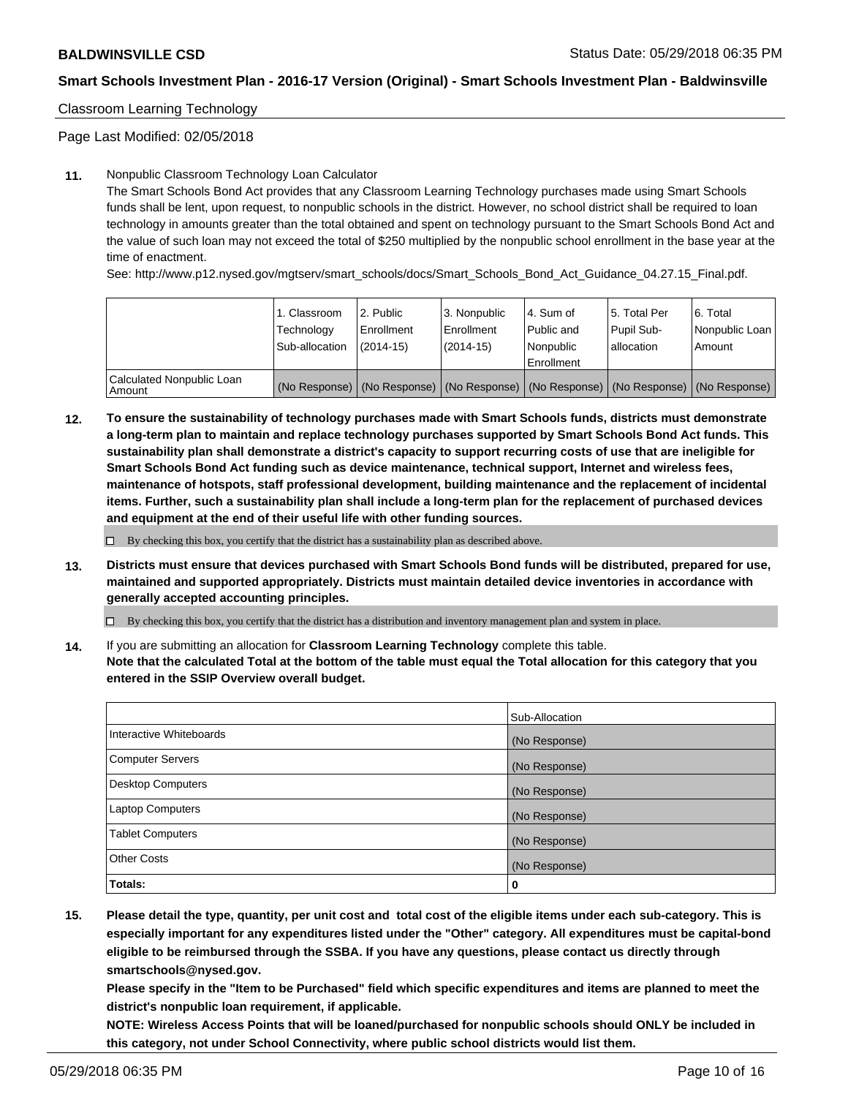## Classroom Learning Technology

Page Last Modified: 02/05/2018

#### **11.** Nonpublic Classroom Technology Loan Calculator

The Smart Schools Bond Act provides that any Classroom Learning Technology purchases made using Smart Schools funds shall be lent, upon request, to nonpublic schools in the district. However, no school district shall be required to loan technology in amounts greater than the total obtained and spent on technology pursuant to the Smart Schools Bond Act and the value of such loan may not exceed the total of \$250 multiplied by the nonpublic school enrollment in the base year at the time of enactment.

See: http://www.p12.nysed.gov/mgtserv/smart\_schools/docs/Smart\_Schools\_Bond\_Act\_Guidance\_04.27.15\_Final.pdf.

|                                       | 1. Classroom<br>Technology<br>Sub-allocation | l 2. Public<br>Enrollment<br>$(2014 - 15)$ | l 3. Nonpublic<br>Enrollment<br>(2014-15) | 4. Sum of<br>Public and<br>l Nonpublic<br>Enrollment | l 5. Total Per<br>Pupil Sub-<br>lallocation                                                   | l 6. Total<br>Nonpublic Loan<br>Amount |
|---------------------------------------|----------------------------------------------|--------------------------------------------|-------------------------------------------|------------------------------------------------------|-----------------------------------------------------------------------------------------------|----------------------------------------|
| Calculated Nonpublic Loan<br>l Amount |                                              |                                            |                                           |                                                      | (No Response)   (No Response)   (No Response)   (No Response)   (No Response)   (No Response) |                                        |

**12. To ensure the sustainability of technology purchases made with Smart Schools funds, districts must demonstrate a long-term plan to maintain and replace technology purchases supported by Smart Schools Bond Act funds. This sustainability plan shall demonstrate a district's capacity to support recurring costs of use that are ineligible for Smart Schools Bond Act funding such as device maintenance, technical support, Internet and wireless fees, maintenance of hotspots, staff professional development, building maintenance and the replacement of incidental items. Further, such a sustainability plan shall include a long-term plan for the replacement of purchased devices and equipment at the end of their useful life with other funding sources.**

 $\square$  By checking this box, you certify that the district has a sustainability plan as described above.

**13. Districts must ensure that devices purchased with Smart Schools Bond funds will be distributed, prepared for use, maintained and supported appropriately. Districts must maintain detailed device inventories in accordance with generally accepted accounting principles.**

By checking this box, you certify that the district has a distribution and inventory management plan and system in place.

**14.** If you are submitting an allocation for **Classroom Learning Technology** complete this table.

**Note that the calculated Total at the bottom of the table must equal the Total allocation for this category that you entered in the SSIP Overview overall budget.**

|                          | Sub-Allocation |
|--------------------------|----------------|
| Interactive Whiteboards  | (No Response)  |
| <b>Computer Servers</b>  | (No Response)  |
| <b>Desktop Computers</b> | (No Response)  |
| <b>Laptop Computers</b>  | (No Response)  |
| <b>Tablet Computers</b>  | (No Response)  |
| <b>Other Costs</b>       | (No Response)  |
| Totals:                  | 0              |

**15. Please detail the type, quantity, per unit cost and total cost of the eligible items under each sub-category. This is especially important for any expenditures listed under the "Other" category. All expenditures must be capital-bond eligible to be reimbursed through the SSBA. If you have any questions, please contact us directly through smartschools@nysed.gov.**

**Please specify in the "Item to be Purchased" field which specific expenditures and items are planned to meet the district's nonpublic loan requirement, if applicable.**

**NOTE: Wireless Access Points that will be loaned/purchased for nonpublic schools should ONLY be included in this category, not under School Connectivity, where public school districts would list them.**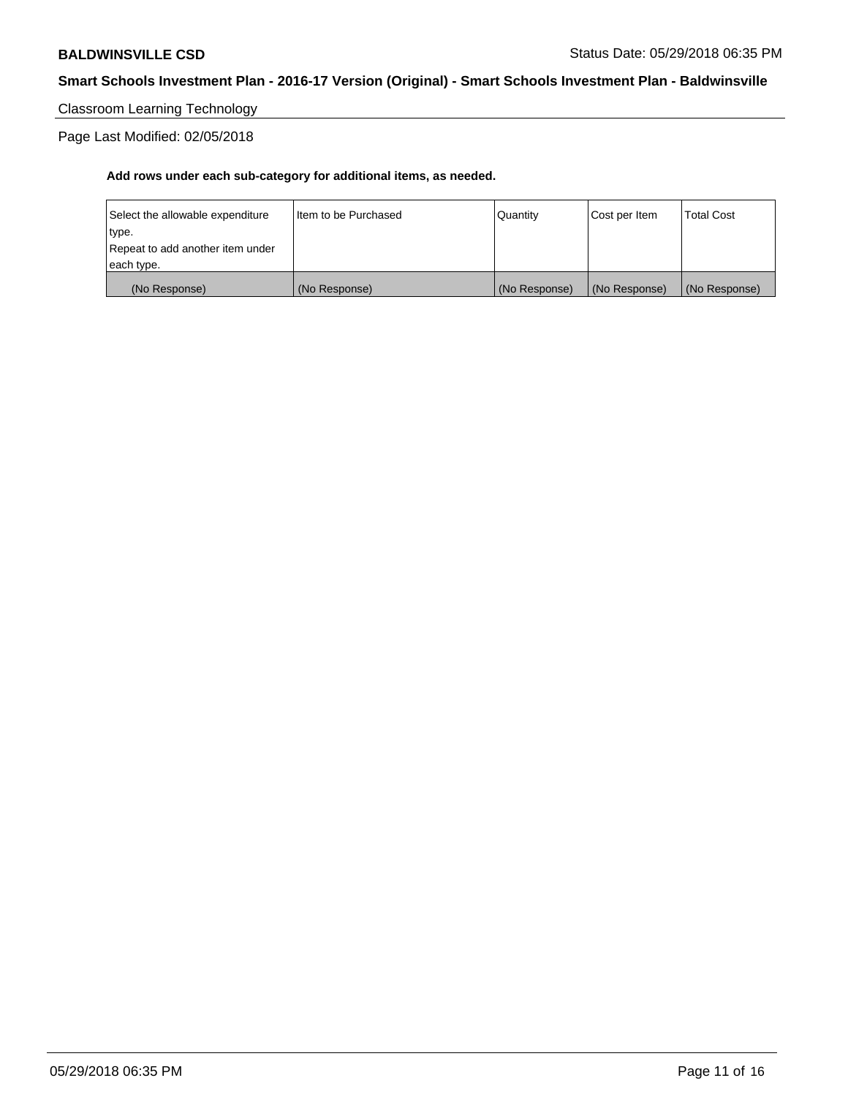Classroom Learning Technology

Page Last Modified: 02/05/2018

| (No Response)                    | (No Response)          | (No Response) | (No Response) | (No Response)     |
|----------------------------------|------------------------|---------------|---------------|-------------------|
| each type.                       |                        |               |               |                   |
| Repeat to add another item under |                        |               |               |                   |
| type.                            |                        |               |               |                   |
| Select the allowable expenditure | I Item to be Purchased | l Quantitv    | Cost per Item | <b>Total Cost</b> |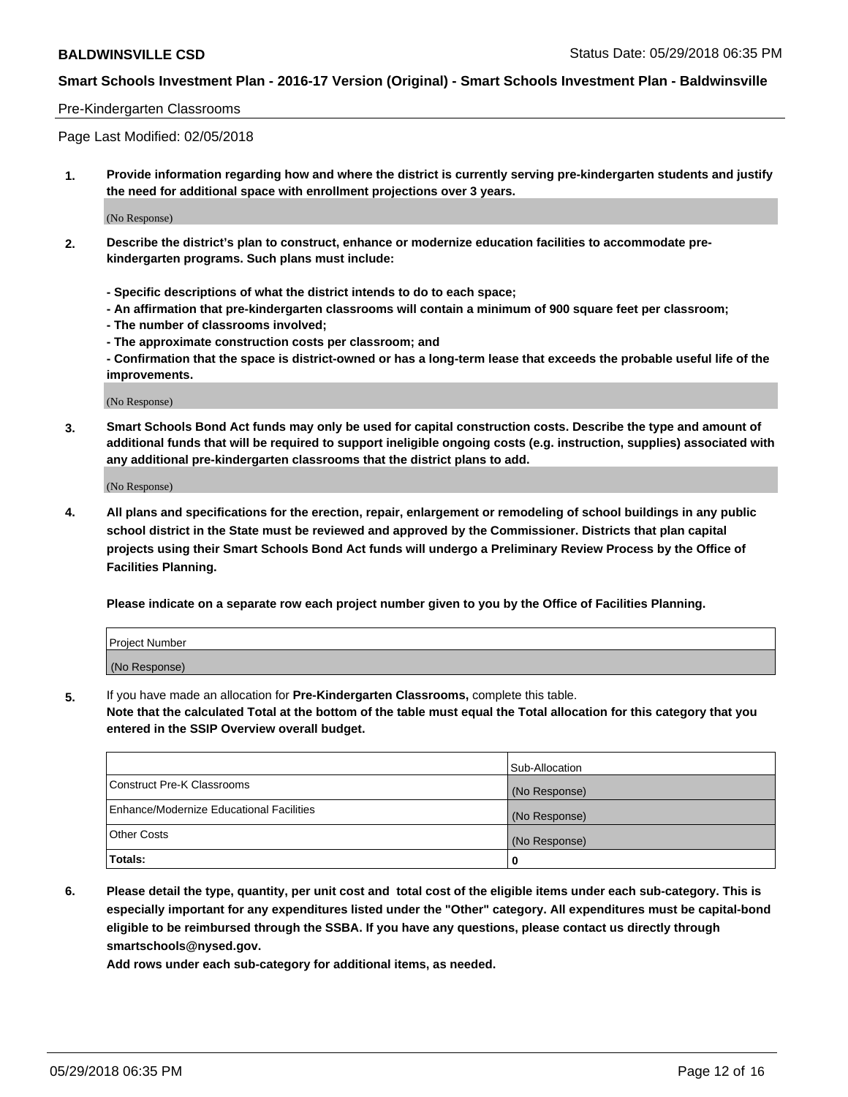#### Pre-Kindergarten Classrooms

Page Last Modified: 02/05/2018

**1. Provide information regarding how and where the district is currently serving pre-kindergarten students and justify the need for additional space with enrollment projections over 3 years.**

(No Response)

- **2. Describe the district's plan to construct, enhance or modernize education facilities to accommodate prekindergarten programs. Such plans must include:**
	- **Specific descriptions of what the district intends to do to each space;**
	- **An affirmation that pre-kindergarten classrooms will contain a minimum of 900 square feet per classroom;**
	- **The number of classrooms involved;**
	- **The approximate construction costs per classroom; and**
	- **Confirmation that the space is district-owned or has a long-term lease that exceeds the probable useful life of the improvements.**

(No Response)

**3. Smart Schools Bond Act funds may only be used for capital construction costs. Describe the type and amount of additional funds that will be required to support ineligible ongoing costs (e.g. instruction, supplies) associated with any additional pre-kindergarten classrooms that the district plans to add.**

(No Response)

**4. All plans and specifications for the erection, repair, enlargement or remodeling of school buildings in any public school district in the State must be reviewed and approved by the Commissioner. Districts that plan capital projects using their Smart Schools Bond Act funds will undergo a Preliminary Review Process by the Office of Facilities Planning.**

**Please indicate on a separate row each project number given to you by the Office of Facilities Planning.**

| <b>Project Number</b> |  |
|-----------------------|--|
| (No Response)         |  |

**5.** If you have made an allocation for **Pre-Kindergarten Classrooms,** complete this table.

**Note that the calculated Total at the bottom of the table must equal the Total allocation for this category that you entered in the SSIP Overview overall budget.**

|                                          | Sub-Allocation |
|------------------------------------------|----------------|
| Construct Pre-K Classrooms               | (No Response)  |
| Enhance/Modernize Educational Facilities | (No Response)  |
| <b>Other Costs</b>                       | (No Response)  |
| Totals:                                  | 0              |

**6. Please detail the type, quantity, per unit cost and total cost of the eligible items under each sub-category. This is especially important for any expenditures listed under the "Other" category. All expenditures must be capital-bond eligible to be reimbursed through the SSBA. If you have any questions, please contact us directly through smartschools@nysed.gov.**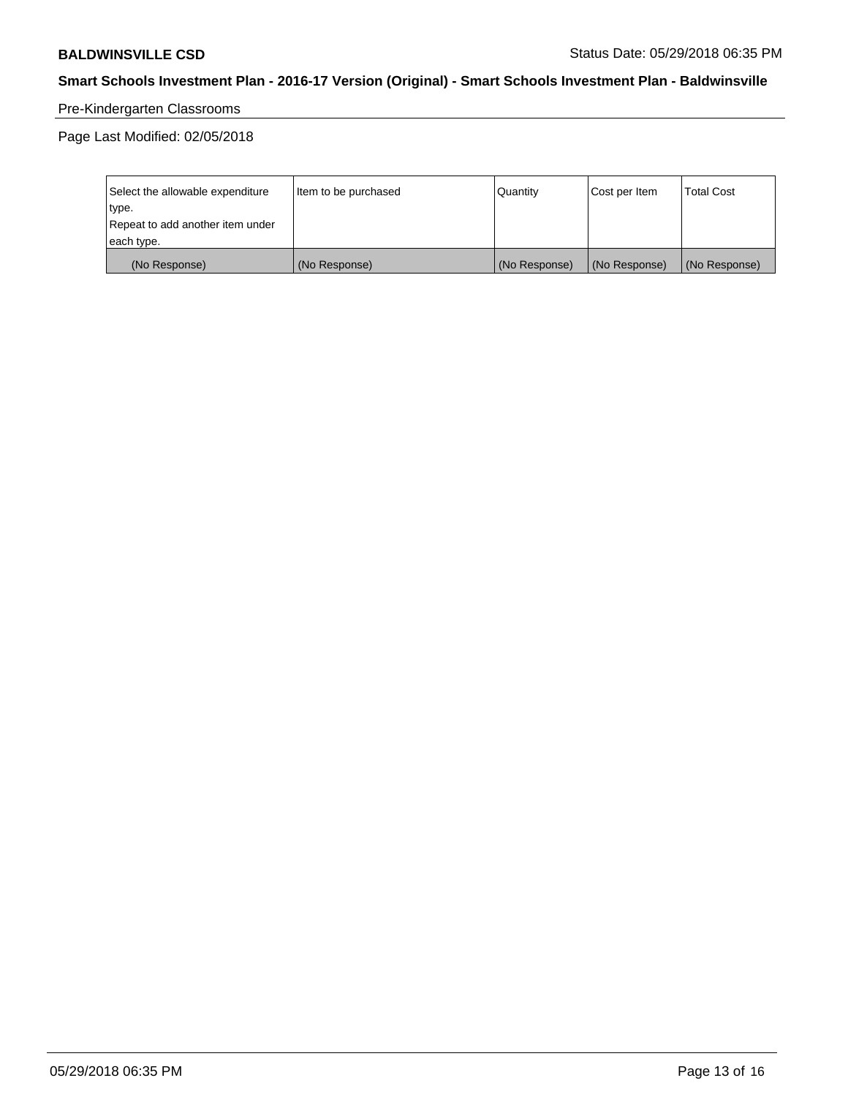# Pre-Kindergarten Classrooms

Page Last Modified: 02/05/2018

| Select the allowable expenditure | Item to be purchased | <b>Quantity</b> | Cost per Item | <b>Total Cost</b> |
|----------------------------------|----------------------|-----------------|---------------|-------------------|
| type.                            |                      |                 |               |                   |
| Repeat to add another item under |                      |                 |               |                   |
| each type.                       |                      |                 |               |                   |
| (No Response)                    | (No Response)        | (No Response)   | (No Response) | (No Response)     |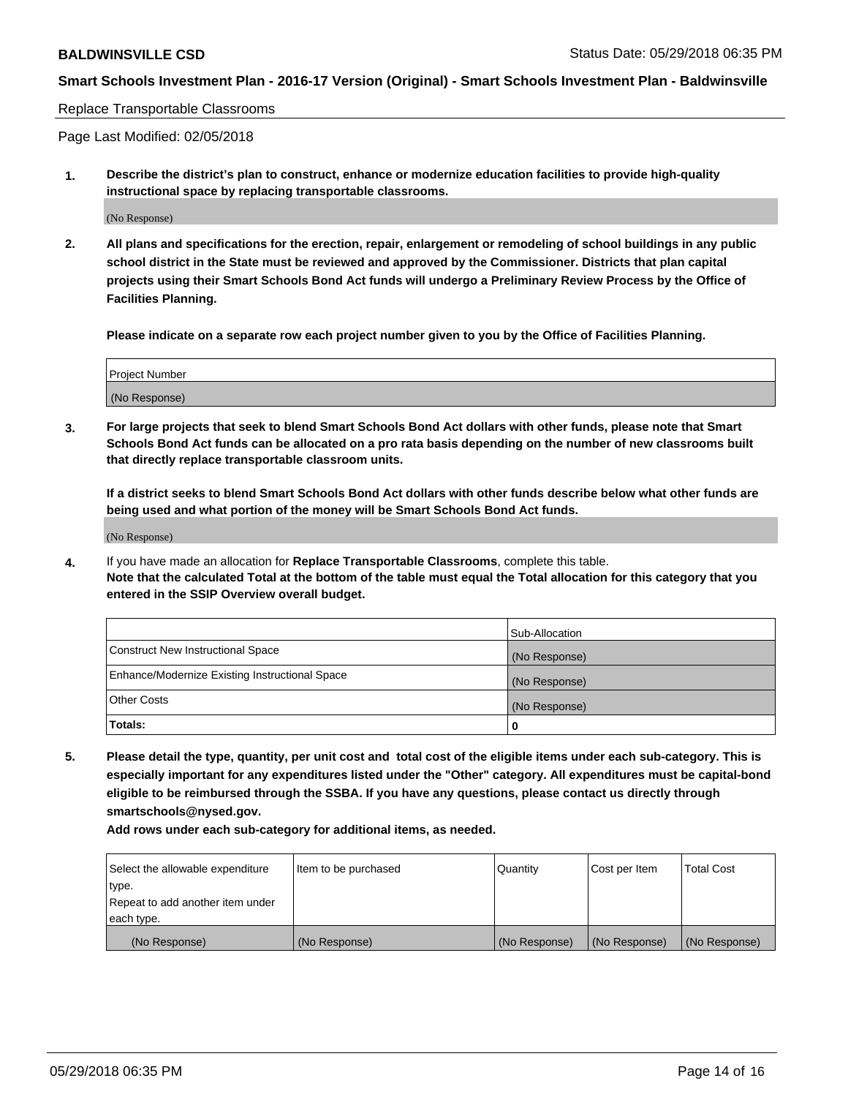#### Replace Transportable Classrooms

Page Last Modified: 02/05/2018

**1. Describe the district's plan to construct, enhance or modernize education facilities to provide high-quality instructional space by replacing transportable classrooms.**

(No Response)

**2. All plans and specifications for the erection, repair, enlargement or remodeling of school buildings in any public school district in the State must be reviewed and approved by the Commissioner. Districts that plan capital projects using their Smart Schools Bond Act funds will undergo a Preliminary Review Process by the Office of Facilities Planning.**

**Please indicate on a separate row each project number given to you by the Office of Facilities Planning.**

| Project Number |  |
|----------------|--|
| (No Response)  |  |

**3. For large projects that seek to blend Smart Schools Bond Act dollars with other funds, please note that Smart Schools Bond Act funds can be allocated on a pro rata basis depending on the number of new classrooms built that directly replace transportable classroom units.**

**If a district seeks to blend Smart Schools Bond Act dollars with other funds describe below what other funds are being used and what portion of the money will be Smart Schools Bond Act funds.**

(No Response)

**4.** If you have made an allocation for **Replace Transportable Classrooms**, complete this table. **Note that the calculated Total at the bottom of the table must equal the Total allocation for this category that you entered in the SSIP Overview overall budget.**

|                                                | Sub-Allocation |
|------------------------------------------------|----------------|
| Construct New Instructional Space              | (No Response)  |
| Enhance/Modernize Existing Instructional Space | (No Response)  |
| Other Costs                                    | (No Response)  |
| Totals:                                        | 0              |

**5. Please detail the type, quantity, per unit cost and total cost of the eligible items under each sub-category. This is especially important for any expenditures listed under the "Other" category. All expenditures must be capital-bond eligible to be reimbursed through the SSBA. If you have any questions, please contact us directly through smartschools@nysed.gov.**

| Select the allowable expenditure | Item to be purchased | Quantity      | Cost per Item | <b>Total Cost</b> |
|----------------------------------|----------------------|---------------|---------------|-------------------|
| type.                            |                      |               |               |                   |
| Repeat to add another item under |                      |               |               |                   |
| each type.                       |                      |               |               |                   |
| (No Response)                    | (No Response)        | (No Response) | (No Response) | (No Response)     |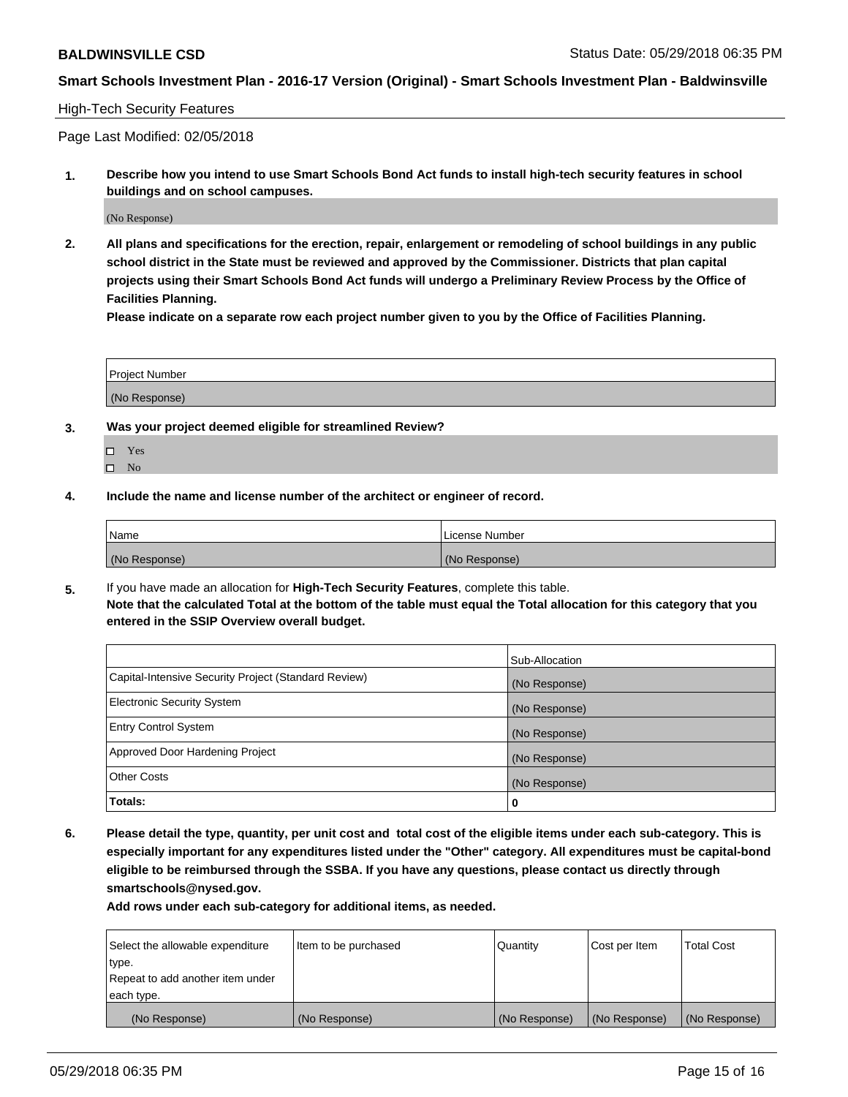#### High-Tech Security Features

Page Last Modified: 02/05/2018

**1. Describe how you intend to use Smart Schools Bond Act funds to install high-tech security features in school buildings and on school campuses.**

(No Response)

**2. All plans and specifications for the erection, repair, enlargement or remodeling of school buildings in any public school district in the State must be reviewed and approved by the Commissioner. Districts that plan capital projects using their Smart Schools Bond Act funds will undergo a Preliminary Review Process by the Office of Facilities Planning.** 

**Please indicate on a separate row each project number given to you by the Office of Facilities Planning.**

| <b>Project Number</b> |  |  |
|-----------------------|--|--|
|                       |  |  |
| (No Response)         |  |  |

- **3. Was your project deemed eligible for streamlined Review?**
	- Yes  $\square$  No
- **4. Include the name and license number of the architect or engineer of record.**

| Name          | License Number |
|---------------|----------------|
| (No Response) | (No Response)  |

**5.** If you have made an allocation for **High-Tech Security Features**, complete this table. **Note that the calculated Total at the bottom of the table must equal the Total allocation for this category that you entered in the SSIP Overview overall budget.**

|                                                      | Sub-Allocation |
|------------------------------------------------------|----------------|
| Capital-Intensive Security Project (Standard Review) | (No Response)  |
| <b>Electronic Security System</b>                    | (No Response)  |
| <b>Entry Control System</b>                          | (No Response)  |
| Approved Door Hardening Project                      | (No Response)  |
| <b>Other Costs</b>                                   | (No Response)  |
| Totals:                                              | 0              |

**6. Please detail the type, quantity, per unit cost and total cost of the eligible items under each sub-category. This is especially important for any expenditures listed under the "Other" category. All expenditures must be capital-bond eligible to be reimbursed through the SSBA. If you have any questions, please contact us directly through smartschools@nysed.gov.**

| Select the allowable expenditure | Item to be purchased | Quantity      | Cost per Item | <b>Total Cost</b> |
|----------------------------------|----------------------|---------------|---------------|-------------------|
| type.                            |                      |               |               |                   |
| Repeat to add another item under |                      |               |               |                   |
| each type.                       |                      |               |               |                   |
| (No Response)                    | (No Response)        | (No Response) | (No Response) | (No Response)     |